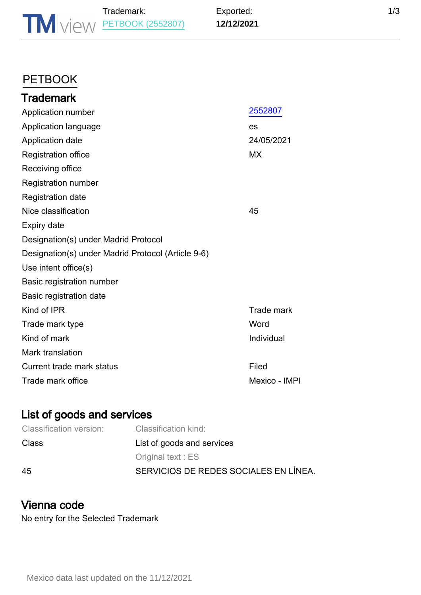# **[PETBOOK](https://www.tmdn.org/tmview/#/tmview/detail/MX501985012552807)**

| <b>Trademark</b>                                   |                   |
|----------------------------------------------------|-------------------|
| Application number                                 | 2552807           |
| Application language                               | es                |
| Application date                                   | 24/05/2021        |
| <b>Registration office</b>                         | <b>MX</b>         |
| Receiving office                                   |                   |
| <b>Registration number</b>                         |                   |
| <b>Registration date</b>                           |                   |
| Nice classification                                | 45                |
| Expiry date                                        |                   |
| Designation(s) under Madrid Protocol               |                   |
| Designation(s) under Madrid Protocol (Article 9-6) |                   |
| Use intent office(s)                               |                   |
| <b>Basic registration number</b>                   |                   |
| Basic registration date                            |                   |
| Kind of IPR                                        | <b>Trade mark</b> |
| Trade mark type                                    | Word              |
| Kind of mark                                       | Individual        |
| Mark translation                                   |                   |
| Current trade mark status                          | Filed             |
| Trade mark office                                  | Mexico - IMPI     |

## List of goods and services

| <b>Classification version:</b> | Classification kind:                  |
|--------------------------------|---------------------------------------|
| <b>Class</b>                   | List of goods and services            |
|                                | Original text: ES                     |
| 45                             | SERVICIOS DE REDES SOCIALES EN LÍNEA. |

#### Vienna code

No entry for the Selected Trademark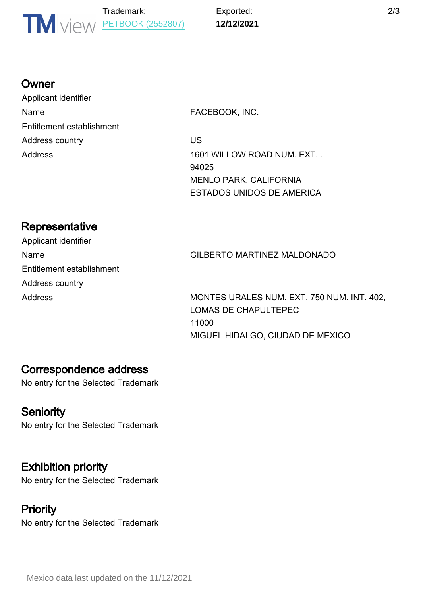#### **Owner**

Applicant identifier Name **FACEBOOK, INC.** Entitlement establishment Address country **Address** country **US** 

Address 1601 WILLOW ROAD NUM. EXT. 94025 MENLO PARK, CALIFORNIA ESTADOS UNIDOS DE AMERICA

# **Representative**

Applicant identifier Entitlement establishment Address country

Name GILBERTO MARTINEZ MALDONADO

Address MONTES URALES NUM. EXT. 750 NUM. INT. 402, LOMAS DE CHAPULTEPEC 11000 MIGUEL HIDALGO, CIUDAD DE MEXICO

#### Correspondence address

No entry for the Selected Trademark

# **Seniority**

No entry for the Selected Trademark

# Exhibition priority

No entry for the Selected Trademark

## **Priority**

No entry for the Selected Trademark